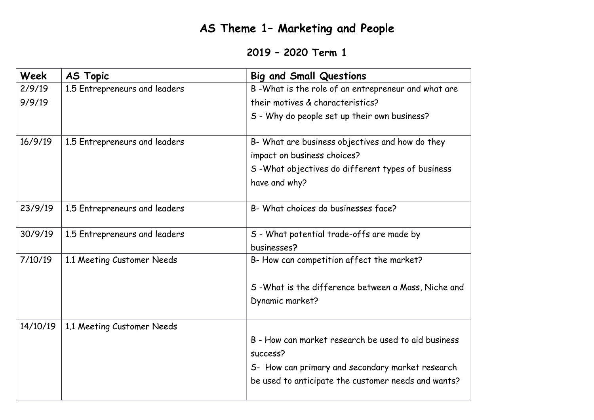## **AS Theme 1– Marketing and People**

## **2019 – 2020 Term 1**

| Week     | <b>AS Topic</b>               | <b>Big and Small Questions</b>                       |
|----------|-------------------------------|------------------------------------------------------|
| 2/9/19   | 1.5 Entrepreneurs and leaders | B-What is the role of an entrepreneur and what are   |
| 9/9/19   |                               | their motives & characteristics?                     |
|          |                               | S - Why do people set up their own business?         |
| 16/9/19  | 1.5 Entrepreneurs and leaders | B- What are business objectives and how do they      |
|          |                               | impact on business choices?                          |
|          |                               | S-What objectives do different types of business     |
|          |                               | have and why?                                        |
| 23/9/19  | 1.5 Entrepreneurs and leaders | B- What choices do businesses face?                  |
| 30/9/19  | 1.5 Entrepreneurs and leaders | S - What potential trade-offs are made by            |
|          |                               | businesses?                                          |
| 7/10/19  | 1.1 Meeting Customer Needs    | B- How can competition affect the market?            |
|          |                               | S - What is the difference between a Mass, Niche and |
|          |                               | Dynamic market?                                      |
| 14/10/19 | 1.1 Meeting Customer Needs    |                                                      |
|          |                               | B - How can market research be used to aid business  |
|          |                               | success?                                             |
|          |                               | S- How can primary and secondary market research     |
|          |                               | be used to anticipate the customer needs and wants?  |
|          |                               |                                                      |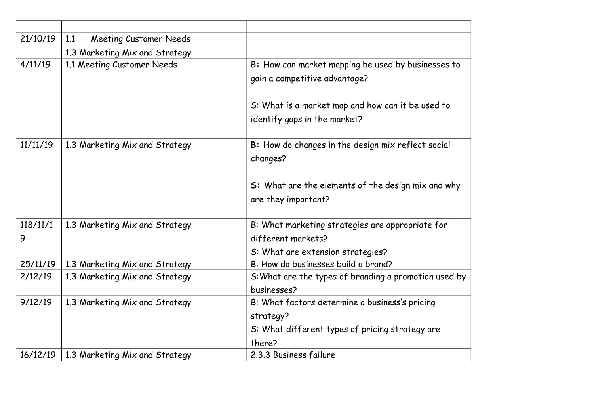| 21/10/19 | <b>Meeting Customer Needs</b><br>1.1 |                                                       |
|----------|--------------------------------------|-------------------------------------------------------|
|          | 1.3 Marketing Mix and Strategy       |                                                       |
| 4/11/19  | 1.1 Meeting Customer Needs           | B: How can market mapping be used by businesses to    |
|          |                                      | gain a competitive advantage?                         |
|          |                                      |                                                       |
|          |                                      | S: What is a market map and how can it be used to     |
|          |                                      | identify gaps in the market?                          |
|          |                                      |                                                       |
| 11/11/19 | 1.3 Marketing Mix and Strategy       | B: How do changes in the design mix reflect social    |
|          |                                      | changes?                                              |
|          |                                      |                                                       |
|          |                                      | S: What are the elements of the design mix and why    |
|          |                                      | are they important?                                   |
|          |                                      |                                                       |
| 118/11/1 | 1.3 Marketing Mix and Strategy       | B: What marketing strategies are appropriate for      |
| 9        |                                      | different markets?                                    |
|          |                                      | S: What are extension strategies?                     |
| 25/11/19 | 1.3 Marketing Mix and Strategy       | B: How do businesses build a brand?                   |
| 2/12/19  | 1.3 Marketing Mix and Strategy       | S: What are the types of branding a promotion used by |
|          |                                      | businesses?                                           |
| 9/12/19  | 1.3 Marketing Mix and Strategy       | B: What factors determine a business's pricing        |
|          |                                      | strategy?                                             |
|          |                                      | S: What different types of pricing strategy are       |
|          |                                      | there?                                                |
| 16/12/19 | 1.3 Marketing Mix and Strategy       | 2.3.3 Business failure                                |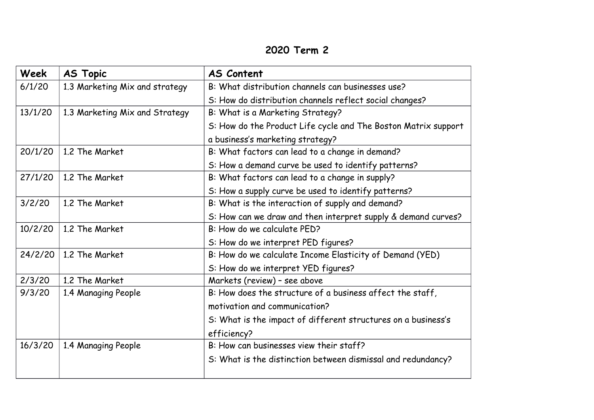## **2020 Term 2**

| Week    | <b>AS Topic</b>                | <b>AS Content</b>                                              |
|---------|--------------------------------|----------------------------------------------------------------|
| 6/1/20  | 1.3 Marketing Mix and strategy | B: What distribution channels can businesses use?              |
|         |                                | S: How do distribution channels reflect social changes?        |
| 13/1/20 | 1.3 Marketing Mix and Strategy | B: What is a Marketing Strategy?                               |
|         |                                | S: How do the Product Life cycle and The Boston Matrix support |
|         |                                | a business's marketing strategy?                               |
| 20/1/20 | 1.2 The Market                 | B: What factors can lead to a change in demand?                |
|         |                                | S: How a demand curve be used to identify patterns?            |
| 27/1/20 | 1.2 The Market                 | B: What factors can lead to a change in supply?                |
|         |                                | S: How a supply curve be used to identify patterns?            |
| 3/2/20  | 1.2 The Market                 | B: What is the interaction of supply and demand?               |
|         |                                | S: How can we draw and then interpret supply & demand curves?  |
| 10/2/20 | 1.2 The Market                 | B: How do we calculate PED?                                    |
|         |                                | S: How do we interpret PED figures?                            |
| 24/2/20 | 1.2 The Market                 | B: How do we calculate Income Elasticity of Demand (YED)       |
|         |                                | S: How do we interpret YED figures?                            |
| 2/3/20  | 1.2 The Market                 | Markets (review) - see above                                   |
| 9/3/20  | 1.4 Managing People            | B: How does the structure of a business affect the staff,      |
|         |                                | motivation and communication?                                  |
|         |                                | S: What is the impact of different structures on a business's  |
|         |                                | efficiency?                                                    |
| 16/3/20 | 1.4 Managing People            | B: How can businesses view their staff?                        |
|         |                                | S: What is the distinction between dismissal and redundancy?   |
|         |                                |                                                                |